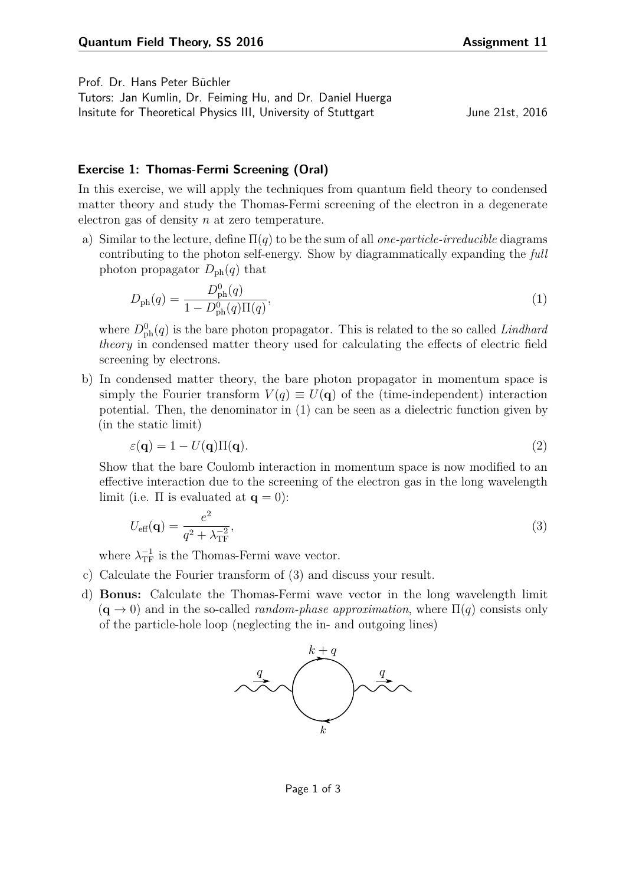Prof. Dr. Hans Peter Büchler

Tutors: Jan Kumlin, Dr. Feiming Hu, and Dr. Daniel Huerga Insitute for Theoretical Physics III, University of Stuttgart June 21st, 2016

## **Exercise 1: Thomas-Fermi Screening (Oral)**

In this exercise, we will apply the techniques from quantum field theory to condensed matter theory and study the Thomas-Fermi screening of the electron in a degenerate electron gas of density *n* at zero temperature.

a) Similar to the lecture, define Π(*q*) to be the sum of all *one-particle-irreducible* diagrams contributing to the photon self-energy. Show by diagrammatically expanding the *full* photon propagator  $D_{\text{ph}}(q)$  that

<span id="page-0-0"></span>
$$
D_{\rm ph}(q) = \frac{D_{\rm ph}^{0}(q)}{1 - D_{\rm ph}^{0}(q)\Pi(q)},
$$
\n(1)

where  $D_{\rm ph}^0(q)$  is the bare photon propagator. This is related to the so called *Lindhard theory* in condensed matter theory used for calculating the effects of electric field screening by electrons.

b) In condensed matter theory, the bare photon propagator in momentum space is simply the Fourier transform  $V(q) \equiv U(q)$  of the (time-independent) interaction potential. Then, the denominator in [\(1\)](#page-0-0) can be seen as a dielectric function given by (in the static limit)

$$
\varepsilon(\mathbf{q}) = 1 - U(\mathbf{q})\Pi(\mathbf{q}).\tag{2}
$$

Show that the bare Coulomb interaction in momentum space is now modified to an effective interaction due to the screening of the electron gas in the long wavelength limit (i.e.  $\Pi$  is evaluated at  $\mathbf{q} = 0$ ):

<span id="page-0-1"></span>
$$
U_{\text{eff}}(\mathbf{q}) = \frac{e^2}{q^2 + \lambda_{\text{TF}}^{-2}},\tag{3}
$$

where  $\lambda_{\text{TF}}^{-1}$  is the Thomas-Fermi wave vector.

- c) Calculate the Fourier transform of [\(3\)](#page-0-1) and discuss your result.
- d) **Bonus:** Calculate the Thomas-Fermi wave vector in the long wavelength limit  $(\mathbf{q} \to 0)$  and in the so-called *random-phase approximation*, where  $\Pi(q)$  consists only of the particle-hole loop (neglecting the in- and outgoing lines)



Page 1 of 3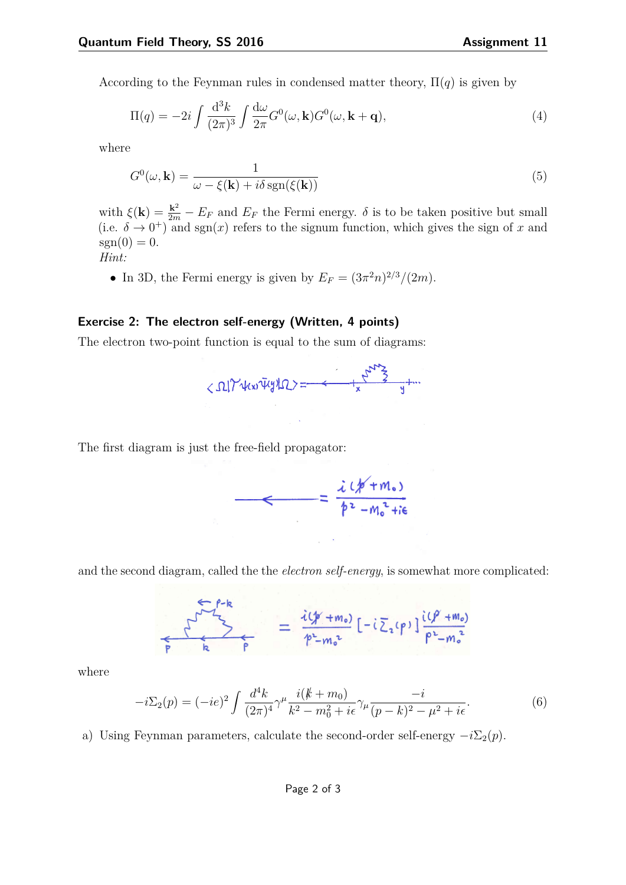According to the Feynman rules in condensed matter theory,  $\Pi(q)$  is given by

$$
\Pi(q) = -2i \int \frac{\mathrm{d}^3 k}{(2\pi)^3} \int \frac{\mathrm{d}\omega}{2\pi} G^0(\omega, \mathbf{k}) G^0(\omega, \mathbf{k} + \mathbf{q}),\tag{4}
$$

where

$$
G^{0}(\omega, \mathbf{k}) = \frac{1}{\omega - \xi(\mathbf{k}) + i\delta \operatorname{sgn}(\xi(\mathbf{k}))}
$$
(5)

with  $\xi(\mathbf{k}) = \frac{\mathbf{k}^2}{2m} - E_F$  and  $E_F$  the Fermi energy.  $\delta$  is to be taken positive but small (i.e.  $\delta \to 0^+$ ) and sgn(*x*) refers to the signum function, which gives the sign of *x* and  $sgn(0) = 0.$ 

*Hint:*

• In 3D, the Fermi energy is given by  $E_F = (3\pi^2 n)^{2/3}/(2m)$ .

## **Exercise 2: The electron self-energy (Written, 4 points)**

The electron two-point function is equal to the sum of diagrams:

$$
<\Omega_{1}\gamma_{4}(x_{1}x_{2}x_{3})=-\frac{1}{2}\frac{1}{2}\gamma_{4}x_{2}x_{3}^{2}+\cdots
$$

The first diagram is just the free-field propagator:

$$
= \frac{\lambda (1/\gamma + m_0)}{\beta^2 - m_0^2 + i\epsilon}
$$

and the second diagram, called the the *electron self-energy*, is somewhat more complicated:

$$
\sum_{p} \frac{i(p+m_0)}{k} = \frac{i(p+m_0)}{p-m_0^2} [-i \sum_{a} (p)] \frac{i(p+m_0)}{p^2 - m_0^2}
$$

where

$$
-i\Sigma_2(p) = (-ie)^2 \int \frac{d^4k}{(2\pi)^4} \gamma^\mu \frac{i(k+m_0)}{k^2 - m_0^2 + i\epsilon} \gamma_\mu \frac{-i}{(p-k)^2 - \mu^2 + i\epsilon}.
$$
 (6)

a) Using Feynman parameters, calculate the second-order self-energy  $-i\Sigma_2(p)$ .